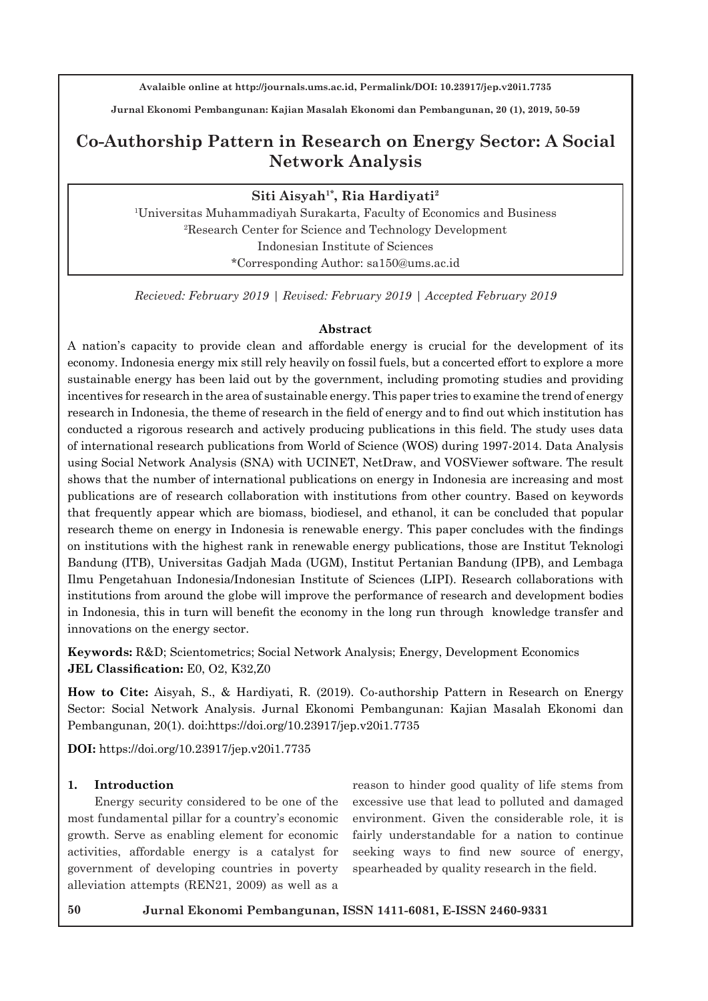**Jurnal Ekonomi Pembangunan: Kajian Masalah Ekonomi dan Pembangunan, 20 (1), 2019, 50-59**

# **Co-Authorship Pattern in Research on Energy Sector: A Social Network Analysis**

# Siti Aisyah<sup>1\*</sup>, Ria Hardiyati<sup>2</sup>

1 Universitas Muhammadiyah Surakarta, Faculty of Economics and Business 2 Research Center for Science and Technology Development Indonesian Institute of Sciences \*Corresponding Author: sa150@ums.ac.id

*Recieved: February 2019 | Revised: February 2019 | Accepted February 2019*

#### **Abstract**

A nation's capacity to provide clean and affordable energy is crucial for the development of its economy. Indonesia energy mix still rely heavily on fossil fuels, but a concerted effort to explore a more sustainable energy has been laid out by the government, including promoting studies and providing incentives for research in the area of sustainable energy. This paper tries to examine the trend of energy research in Indonesia, the theme of research in the field of energy and to find out which institution has conducted a rigorous research and actively producing publications in this field. The study uses data of international research publications from World of Science (WOS) during 1997-2014. Data Analysis using Social Network Analysis (SNA) with UCINET, NetDraw, and VOSViewer software. The result shows that the number of international publications on energy in Indonesia are increasing and most publications are of research collaboration with institutions from other country. Based on keywords that frequently appear which are biomass, biodiesel, and ethanol, it can be concluded that popular research theme on energy in Indonesia is renewable energy. This paper concludes with the findings on institutions with the highest rank in renewable energy publications, those are Institut Teknologi Bandung (ITB), Universitas Gadjah Mada (UGM), Institut Pertanian Bandung (IPB), and Lembaga Ilmu Pengetahuan Indonesia/Indonesian Institute of Sciences (LIPI). Research collaborations with institutions from around the globe will improve the performance of research and development bodies in Indonesia, this in turn will benefit the economy in the long run through knowledge transfer and innovations on the energy sector.

**Keywords:** R&D; Scientometrics; Social Network Analysis; Energy, Development Economics **JEL Classification:** E0, O2, K32,Z0

**How to Cite:** Aisyah, S., & Hardiyati, R. (2019). Co-authorship Pattern in Research on Energy Sector: Social Network Analysis. Jurnal Ekonomi Pembangunan: Kajian Masalah Ekonomi dan Pembangunan, 20(1). doi:https://doi.org/10.23917/jep.v20i1.7735

**DOI:** https://doi.org/10.23917/jep.v20i1.7735

#### **1. Introduction**

Energy security considered to be one of the most fundamental pillar for a country's economic growth. Serve as enabling element for economic activities, affordable energy is a catalyst for government of developing countries in poverty alleviation attempts (REN21, 2009) as well as a reason to hinder good quality of life stems from excessive use that lead to polluted and damaged environment. Given the considerable role, it is fairly understandable for a nation to continue seeking ways to find new source of energy, spearheaded by quality research in the field.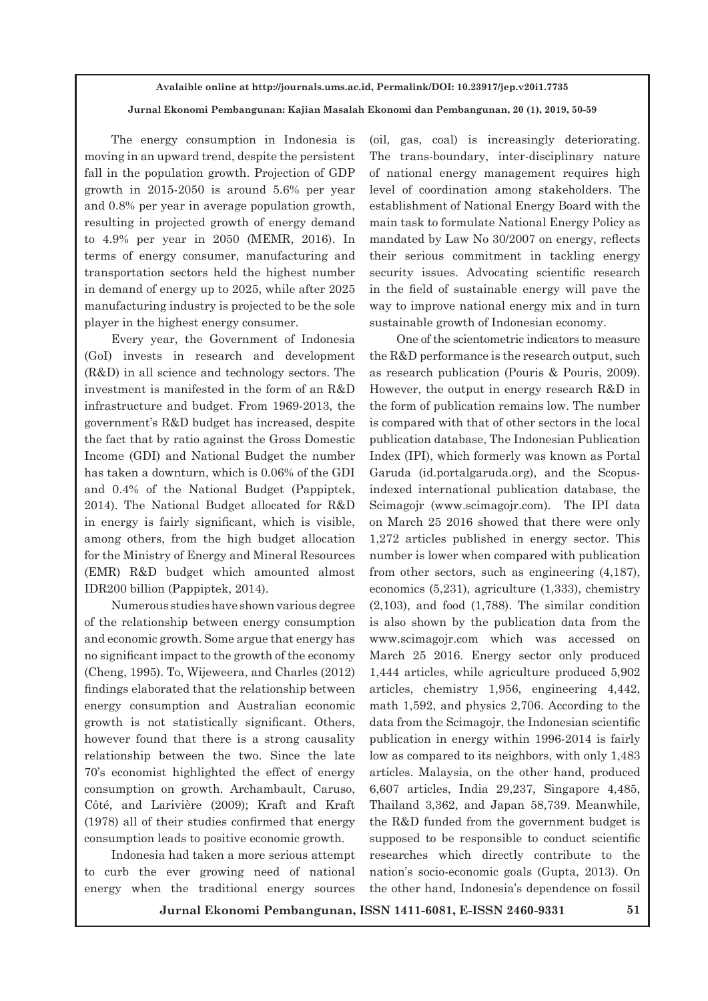#### **Jurnal Ekonomi Pembangunan: Kajian Masalah Ekonomi dan Pembangunan, 20 (1), 2019, 50-59**

The energy consumption in Indonesia is moving in an upward trend, despite the persistent fall in the population growth. Projection of GDP growth in 2015-2050 is around 5.6% per year and 0.8% per year in average population growth, resulting in projected growth of energy demand to 4.9% per year in 2050 (MEMR, 2016). In terms of energy consumer, manufacturing and transportation sectors held the highest number in demand of energy up to 2025, while after 2025 manufacturing industry is projected to be the sole player in the highest energy consumer.

Every year, the Government of Indonesia (GoI) invests in research and development (R&D) in all science and technology sectors. The investment is manifested in the form of an R&D infrastructure and budget. From 1969-2013, the government's R&D budget has increased, despite the fact that by ratio against the Gross Domestic Income (GDI) and National Budget the number has taken a downturn, which is 0.06% of the GDI and 0.4% of the National Budget (Pappiptek, 2014). The National Budget allocated for R&D in energy is fairly significant, which is visible, among others, from the high budget allocation for the Ministry of Energy and Mineral Resources (EMR) R&D budget which amounted almost IDR200 billion (Pappiptek, 2014).

Numerous studies have shown various degree of the relationship between energy consumption and economic growth. Some argue that energy has no significant impact to the growth of the economy (Cheng, 1995). To, Wijeweera, and Charles (2012) findings elaborated that the relationship between energy consumption and Australian economic growth is not statistically significant. Others, however found that there is a strong causality relationship between the two. Since the late 70's economist highlighted the effect of energy consumption on growth. Archambault, Caruso, Côté, and Larivière (2009); Kraft and Kraft (1978) all of their studies confirmed that energy consumption leads to positive economic growth.

Indonesia had taken a more serious attempt to curb the ever growing need of national energy when the traditional energy sources

(oil, gas, coal) is increasingly deteriorating. The trans-boundary, inter-disciplinary nature of national energy management requires high level of coordination among stakeholders. The establishment of National Energy Board with the main task to formulate National Energy Policy as mandated by Law No 30/2007 on energy, reflects their serious commitment in tackling energy security issues. Advocating scientific research in the field of sustainable energy will pave the way to improve national energy mix and in turn sustainable growth of Indonesian economy.

One of the scientometric indicators to measure the R&D performance is the research output, such as research publication (Pouris & Pouris, 2009). However, the output in energy research R&D in the form of publication remains low. The number is compared with that of other sectors in the local publication database, The Indonesian Publication Index (IPI), which formerly was known as Portal Garuda (id.portalgaruda.org), and the Scopusindexed international publication database, the Scimagojr (www.scimagojr.com). The IPI data on March 25 2016 showed that there were only 1,272 articles published in energy sector. This number is lower when compared with publication from other sectors, such as engineering (4,187), economics (5,231), agriculture (1,333), chemistry (2,103), and food (1,788). The similar condition is also shown by the publication data from the www.scimagojr.com which was accessed on March 25 2016. Energy sector only produced 1,444 articles, while agriculture produced 5,902 articles, chemistry 1,956, engineering 4,442, math 1,592, and physics 2,706. According to the data from the Scimagojr, the Indonesian scientific publication in energy within 1996-2014 is fairly low as compared to its neighbors, with only 1,483 articles. Malaysia, on the other hand, produced 6,607 articles, India 29,237, Singapore 4,485, Thailand 3,362, and Japan 58,739. Meanwhile, the R&D funded from the government budget is supposed to be responsible to conduct scientific researches which directly contribute to the nation's socio-economic goals (Gupta, 2013). On the other hand, Indonesia's dependence on fossil

**Jurnal Ekonomi Pembangunan, ISSN 1411-6081, E-ISSN 2460-9331 51**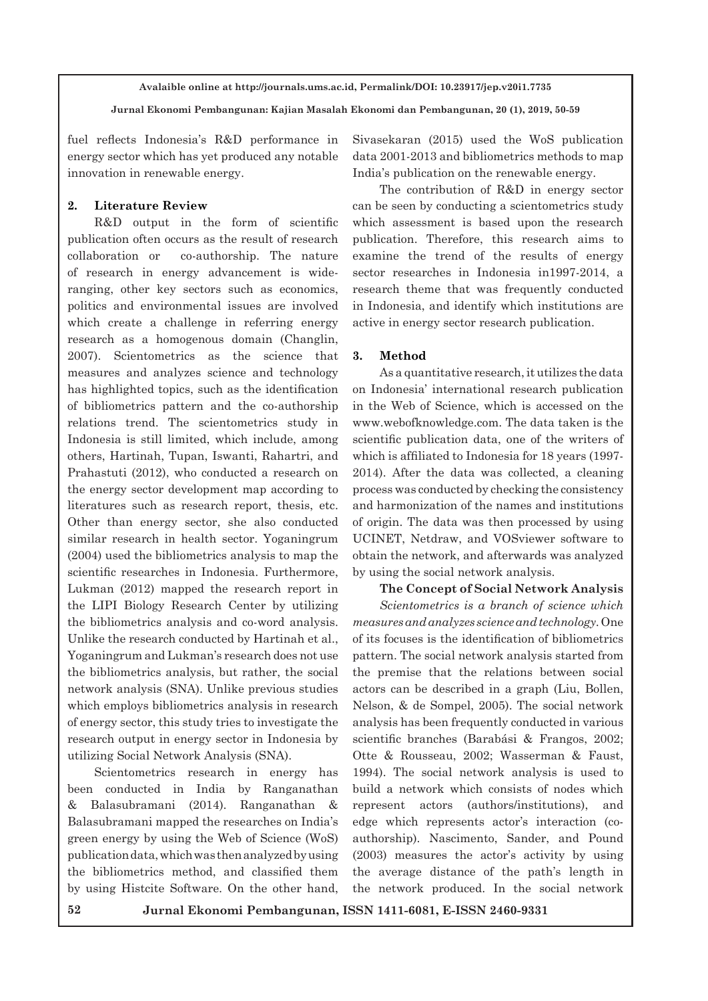**Jurnal Ekonomi Pembangunan: Kajian Masalah Ekonomi dan Pembangunan, 20 (1), 2019, 50-59**

fuel reflects Indonesia's R&D performance in energy sector which has yet produced any notable innovation in renewable energy.

### **2. Literature Review**

R&D output in the form of scientific publication often occurs as the result of research collaboration or co-authorship. The nature of research in energy advancement is wideranging, other key sectors such as economics, politics and environmental issues are involved which create a challenge in referring energy research as a homogenous domain (Changlin, 2007). Scientometrics as the science that measures and analyzes science and technology has highlighted topics, such as the identification of bibliometrics pattern and the co-authorship relations trend. The scientometrics study in Indonesia is still limited, which include, among others, Hartinah, Tupan, Iswanti, Rahartri, and Prahastuti (2012), who conducted a research on the energy sector development map according to literatures such as research report, thesis, etc. Other than energy sector, she also conducted similar research in health sector. Yoganingrum (2004) used the bibliometrics analysis to map the scientific researches in Indonesia. Furthermore, Lukman (2012) mapped the research report in the LIPI Biology Research Center by utilizing the bibliometrics analysis and co-word analysis. Unlike the research conducted by Hartinah et al., Yoganingrum and Lukman's research does not use the bibliometrics analysis, but rather, the social network analysis (SNA). Unlike previous studies which employs bibliometrics analysis in research of energy sector, this study tries to investigate the research output in energy sector in Indonesia by utilizing Social Network Analysis (SNA).

Scientometrics research in energy has been conducted in India by Ranganathan & Balasubramani (2014). Ranganathan & Balasubramani mapped the researches on India's green energy by using the Web of Science (WoS) publication data, which was then analyzed by using the bibliometrics method, and classified them by using Histcite Software. On the other hand, Sivasekaran (2015) used the WoS publication data 2001-2013 and bibliometrics methods to map India's publication on the renewable energy.

The contribution of R&D in energy sector can be seen by conducting a scientometrics study which assessment is based upon the research publication. Therefore, this research aims to examine the trend of the results of energy sector researches in Indonesia in1997-2014, a research theme that was frequently conducted in Indonesia, and identify which institutions are active in energy sector research publication.

#### **3. Method**

As a quantitative research, it utilizes the data on Indonesia' international research publication in the Web of Science, which is accessed on the www.webofknowledge.com. The data taken is the scientific publication data, one of the writers of which is affiliated to Indonesia for 18 years (1997- 2014). After the data was collected, a cleaning process was conducted by checking the consistency and harmonization of the names and institutions of origin. The data was then processed by using UCINET, Netdraw, and VOSviewer software to obtain the network, and afterwards was analyzed by using the social network analysis.

#### **The Concept of Social Network Analysis**

*Scientometrics is a branch of science which measures and analyzes science and technology.* One of its focuses is the identification of bibliometrics pattern. The social network analysis started from the premise that the relations between social actors can be described in a graph (Liu, Bollen, Nelson, & de Sompel, 2005). The social network analysis has been frequently conducted in various scientific branches (Barabási & Frangos, 2002; Otte & Rousseau, 2002; Wasserman & Faust, 1994). The social network analysis is used to build a network which consists of nodes which represent actors (authors/institutions), and edge which represents actor's interaction (coauthorship). Nascimento, Sander, and Pound (2003) measures the actor's activity by using the average distance of the path's length in the network produced. In the social network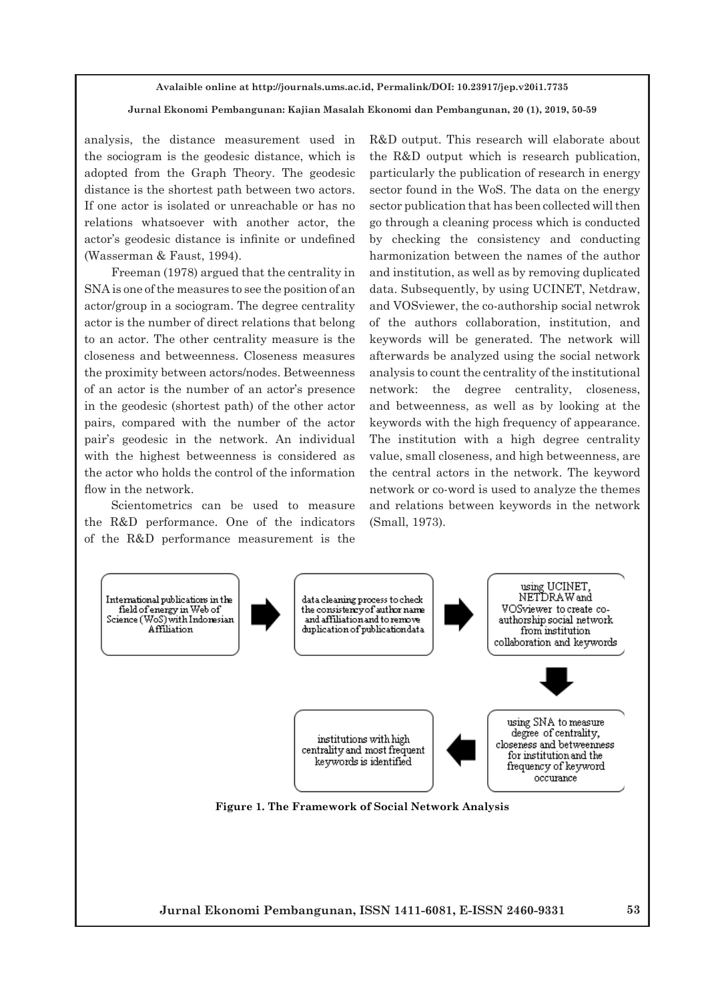# **Jurnal Ekonomi Pembangunan: Kajian Masalah Ekonomi dan Pembangunan, 20 (1), 2019, 50-59**

analysis, the distance measurement used in the sociogram is the geodesic distance, which is adopted from the Graph Theory. The geodesic distance is the shortest path between two actors. If one actor is isolated or unreachable or has no relations whatsoever with another actor, the actor's geodesic distance is infinite or undefined (Wasserman & Faust, 1994).

Freeman (1978) argued that the centrality in SNA is one of the measures to see the position of an actor/group in a sociogram. The degree centrality actor is the number of direct relations that belong to an actor. The other centrality measure is the closeness and betweenness. Closeness measures the proximity between actors/nodes. Betweenness of an actor is the number of an actor's presence in the geodesic (shortest path) of the other actor pairs, compared with the number of the actor pair's geodesic in the network. An individual with the highest betweenness is considered as the actor who holds the control of the information flow in the network.

Scientometrics can be used to measure the R&D performance. One of the indicators of the R&D performance measurement is the R&D output. This research will elaborate about the R&D output which is research publication, particularly the publication of research in energy sector found in the WoS. The data on the energy sector publication that has been collected will then go through a cleaning process which is conducted by checking the consistency and conducting harmonization between the names of the author and institution, as well as by removing duplicated data. Subsequently, by using UCINET, Netdraw, and VOSviewer, the co-authorship social netwrok of the authors collaboration, institution, and keywords will be generated. The network will afterwards be analyzed using the social network analysis to count the centrality of the institutional network: the degree centrality, closeness, and betweenness, as well as by looking at the keywords with the high frequency of appearance. The institution with a high degree centrality value, small closeness, and high betweenness, are the central actors in the network. The keyword network or co-word is used to analyze the themes and relations between keywords in the network (Small, 1973).

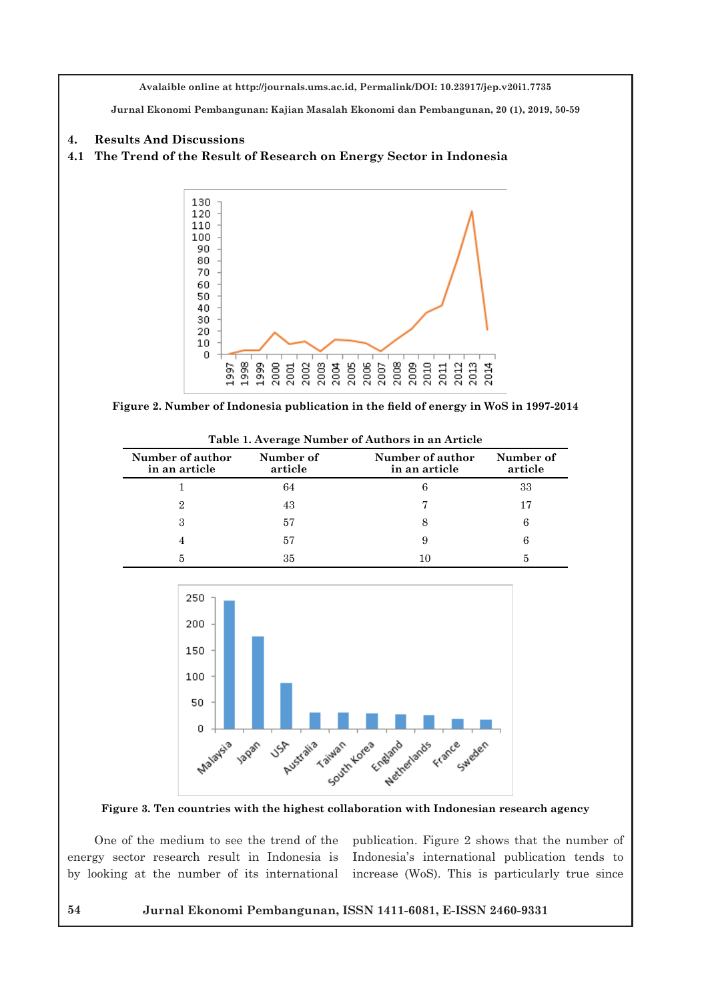**Jurnal Ekonomi Pembangunan: Kajian Masalah Ekonomi dan Pembangunan, 20 (1), 2019, 50-59**

#### **4. Results And Discussions**

### **4.1 The Trend of the Result of Research on Energy Sector in Indonesia**



**Figure 2. Number of Indonesia publication in the field of energy in WoS in 1997-2014**

**Table 1. Average Number of Authors in an Article**

| Number of author<br>in an article | Number of<br>article | Number of author<br>in an article | Number of<br>article |
|-----------------------------------|----------------------|-----------------------------------|----------------------|
|                                   | 64                   |                                   | 33                   |
|                                   | 43                   |                                   |                      |
|                                   | 57                   | 8                                 |                      |
|                                   | 57                   | 9                                 |                      |
|                                   | 35                   | 10                                |                      |



**Figure 3. Ten countries with the highest collaboration with Indonesian research agency**

One of the medium to see the trend of the energy sector research result in Indonesia is by looking at the number of its international publication. Figure 2 shows that the number of Indonesia's international publication tends to increase (WoS). This is particularly true since

#### **54 Jurnal Ekonomi Pembangunan, ISSN 1411-6081, E-ISSN 2460-9331**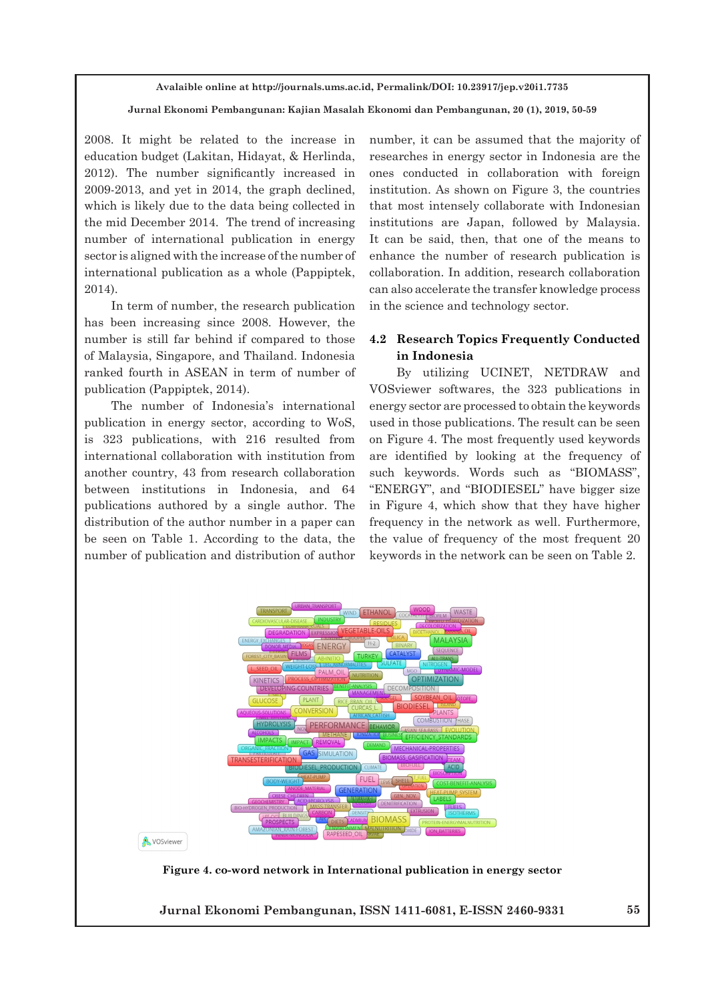#### **Jurnal Ekonomi Pembangunan: Kajian Masalah Ekonomi dan Pembangunan, 20 (1), 2019, 50-59**

2008. It might be related to the increase in education budget (Lakitan, Hidayat, & Herlinda, 2012). The number significantly increased in 2009-2013, and yet in 2014, the graph declined, which is likely due to the data being collected in the mid December 2014. The trend of increasing number of international publication in energy sector is aligned with the increase of the number of international publication as a whole (Pappiptek, 2014).

In term of number, the research publication has been increasing since 2008. However, the number is still far behind if compared to those of Malaysia, Singapore, and Thailand. Indonesia ranked fourth in ASEAN in term of number of publication (Pappiptek, 2014).

The number of Indonesia's international publication in energy sector, according to WoS, is 323 publications, with 216 resulted from international collaboration with institution from another country, 43 from research collaboration between institutions in Indonesia, and 64 publications authored by a single author. The distribution of the author number in a paper can be seen on Table 1. According to the data, the number of publication and distribution of author

number, it can be assumed that the majority of researches in energy sector in Indonesia are the ones conducted in collaboration with foreign institution. As shown on Figure 3, the countries that most intensely collaborate with Indonesian institutions are Japan, followed by Malaysia. It can be said, then, that one of the means to enhance the number of research publication is collaboration. In addition, research collaboration can also accelerate the transfer knowledge process in the science and technology sector.

## **4.2 Research Topics Frequently Conducted in Indonesia**

By utilizing UCINET, NETDRAW and VOSviewer softwares, the 323 publications in energy sector are processed to obtain the keywords used in those publications. The result can be seen on Figure 4. The most frequently used keywords are identified by looking at the frequency of such keywords. Words such as "BIOMASS", "ENERGY", and "BIODIESEL" have bigger size in Figure 4, which show that they have higher frequency in the network as well. Furthermore, the value of frequency of the most frequent 20 keywords in the network can be seen on Table 2.



**Figure 4. co-word network in International publication in energy sector** 

**Jurnal Ekonomi Pembangunan, ISSN 1411-6081, E-ISSN 2460-9331 55**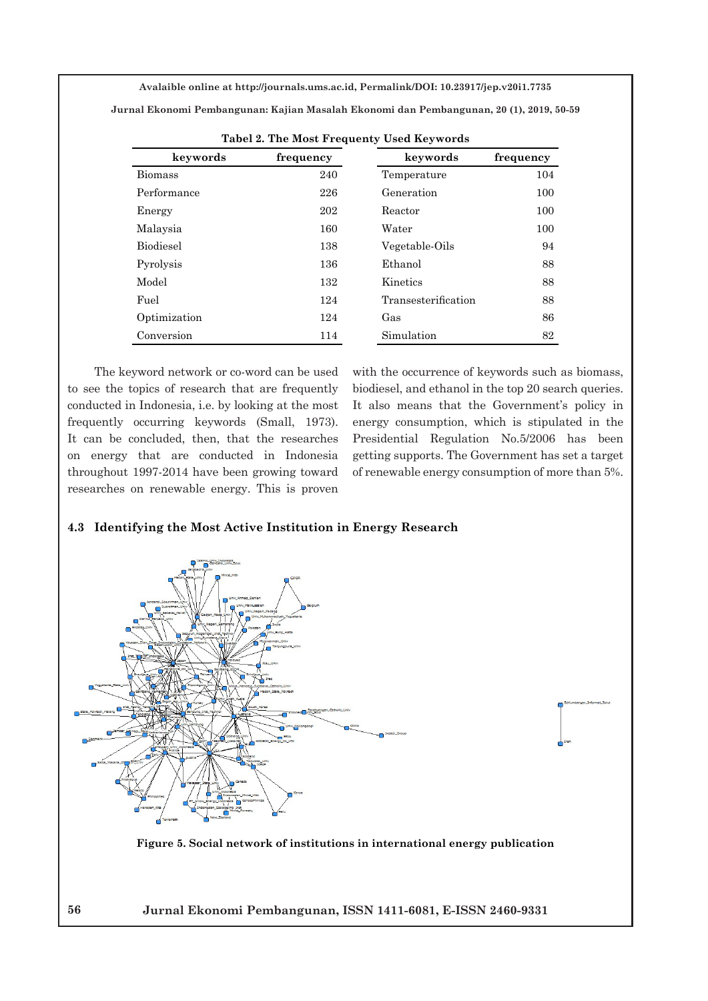**Jurnal Ekonomi Pembangunan: Kajian Masalah Ekonomi dan Pembangunan, 20 (1), 2019, 50-59**

| $10001$ = $100001100$ $100000$ |           |                     |           |  |  |  |
|--------------------------------|-----------|---------------------|-----------|--|--|--|
| keywords                       | frequency | keywords            | frequency |  |  |  |
| <b>Biomass</b>                 | 240       | Temperature         | 104       |  |  |  |
| Performance                    | 226       | Generation          | 100       |  |  |  |
| Energy                         | 202       | Reactor             | 100       |  |  |  |
| Malaysia                       | 160       | Water               | 100       |  |  |  |
| <b>Biodiesel</b>               | 138       | Vegetable-Oils      | 94        |  |  |  |
| Pyrolysis                      | 136       | Ethanol             | 88        |  |  |  |
| Model                          | 132       | Kinetics            | 88        |  |  |  |
| Fuel                           | 124       | Transesterification | 88        |  |  |  |
| Optimization                   | 124       | Gas                 | 86        |  |  |  |
| Conversion                     | 114       | Simulation          | 82        |  |  |  |

|  |  |  | Tabel 2. The Most Frequenty Used Keywords |  |  |
|--|--|--|-------------------------------------------|--|--|
|--|--|--|-------------------------------------------|--|--|

The keyword network or co-word can be used to see the topics of research that are frequently conducted in Indonesia, i.e. by looking at the most frequently occurring keywords (Small, 1973). It can be concluded, then, that the researches on energy that are conducted in Indonesia throughout 1997-2014 have been growing toward researches on renewable energy. This is proven

with the occurrence of keywords such as biomass, biodiesel, and ethanol in the top 20 search queries. It also means that the Government's policy in energy consumption, which is stipulated in the Presidential Regulation No.5/2006 has been getting supports. The Government has set a target of renewable energy consumption of more than 5%.

#### **4.3 Identifying the Most Active Institution in Energy Research**



**Figure 5. Social network of institutions in international energy publication**

**56 Jurnal Ekonomi Pembangunan, ISSN 1411-6081, E-ISSN 2460-9331**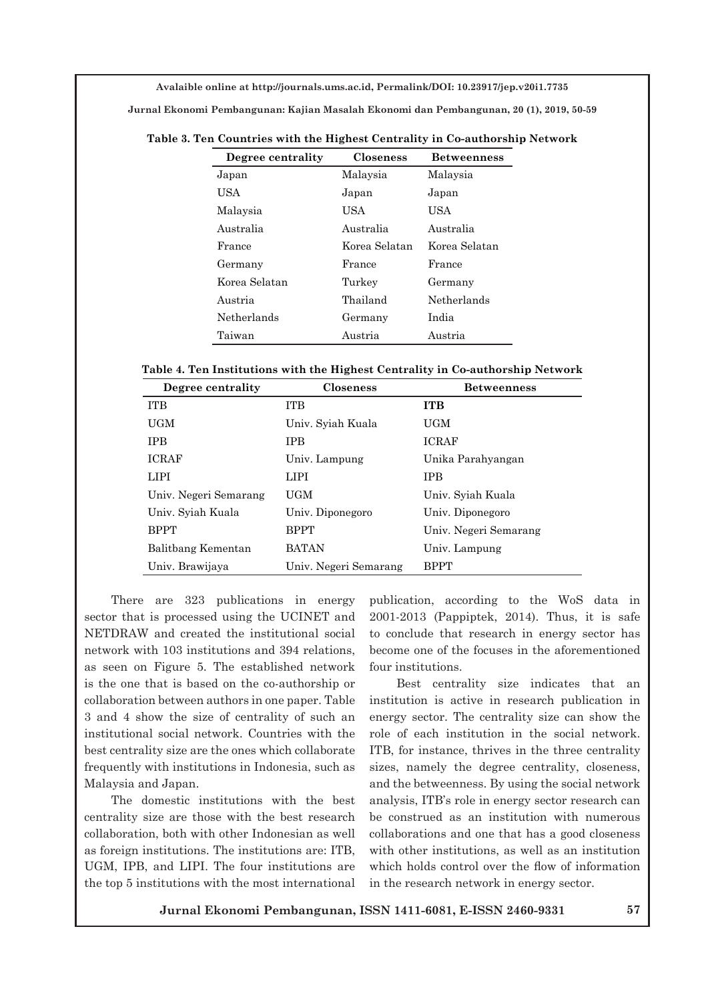**Jurnal Ekonomi Pembangunan: Kajian Masalah Ekonomi dan Pembangunan, 20 (1), 2019, 50-59**

| Degree centrality | <b>Closeness</b> | <b>Betweenness</b> |
|-------------------|------------------|--------------------|
| Japan             | Malaysia         | Malaysia           |
| USA               | Japan            | Japan              |
| Malaysia          | USA              | USA                |
| Australia         | Australia        | Australia          |
| France            | Korea Selatan    | Korea Selatan      |
| Germany           | France           | France             |
| Korea Selatan     | Turkey           | Germany            |
| Austria           | Thailand         | Netherlands        |
| Netherlands       | Germany          | India              |
| Taiwan            | Austria          | Austria            |

**Table 3. Ten Countries with the Highest Centrality in Co-authorship Network**

**Table 4. Ten Institutions with the Highest Centrality in Co-authorship Network**

| Degree centrality     | <b>Closeness</b>      | <b>Betweenness</b>    |
|-----------------------|-----------------------|-----------------------|
| <b>ITB</b>            | <b>ITB</b>            | <b>ITB</b>            |
| UGM                   | Univ. Syiah Kuala     | UGM                   |
| <b>TPB</b>            | <b>TPB</b>            | <b>ICRAF</b>          |
| <b>ICRAF</b>          | Univ. Lampung         | Unika Parahyangan     |
| LIPI                  | LIPI                  | <b>TPB</b>            |
| Univ. Negeri Semarang | UGM                   | Univ. Syiah Kuala     |
| Univ. Syiah Kuala     | Univ. Diponegoro      | Univ. Diponegoro      |
| <b>BPPT</b>           | <b>BPPT</b>           | Univ. Negeri Semarang |
| Balitbang Kementan    | <b>BATAN</b>          | Univ. Lampung         |
| Univ. Brawijaya       | Univ. Negeri Semarang | <b>BPPT</b>           |

There are 323 publications in energy sector that is processed using the UCINET and NETDRAW and created the institutional social network with 103 institutions and 394 relations, as seen on Figure 5. The established network is the one that is based on the co-authorship or collaboration between authors in one paper. Table 3 and 4 show the size of centrality of such an institutional social network. Countries with the best centrality size are the ones which collaborate frequently with institutions in Indonesia, such as Malaysia and Japan.

The domestic institutions with the best centrality size are those with the best research collaboration, both with other Indonesian as well as foreign institutions. The institutions are: ITB, UGM, IPB, and LIPI. The four institutions are the top 5 institutions with the most international publication, according to the WoS data in 2001-2013 (Pappiptek, 2014). Thus, it is safe to conclude that research in energy sector has become one of the focuses in the aforementioned four institutions.

Best centrality size indicates that an institution is active in research publication in energy sector. The centrality size can show the role of each institution in the social network. ITB, for instance, thrives in the three centrality sizes, namely the degree centrality, closeness, and the betweenness. By using the social network analysis, ITB's role in energy sector research can be construed as an institution with numerous collaborations and one that has a good closeness with other institutions, as well as an institution which holds control over the flow of information in the research network in energy sector.

**Jurnal Ekonomi Pembangunan, ISSN 1411-6081, E-ISSN 2460-9331 57**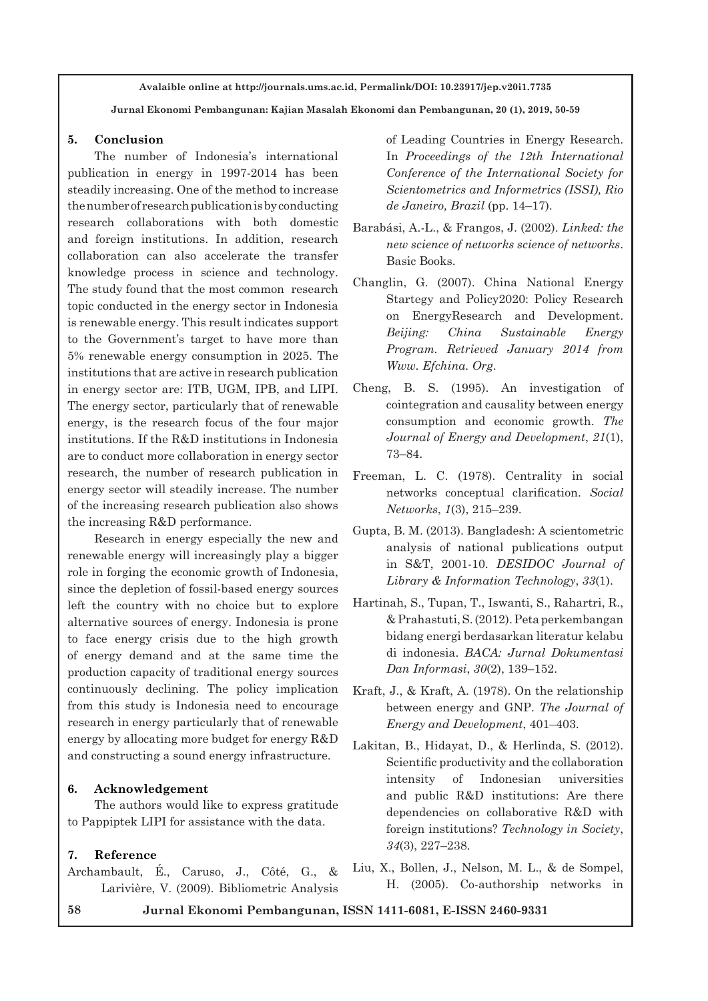**Jurnal Ekonomi Pembangunan: Kajian Masalah Ekonomi dan Pembangunan, 20 (1), 2019, 50-59**

#### **5. Conclusion**

The number of Indonesia's international publication in energy in 1997-2014 has been steadily increasing. One of the method to increase the number of research publication is by conducting research collaborations with both domestic and foreign institutions. In addition, research collaboration can also accelerate the transfer knowledge process in science and technology. The study found that the most common research topic conducted in the energy sector in Indonesia is renewable energy. This result indicates support to the Government's target to have more than 5% renewable energy consumption in 2025. The institutions that are active in research publication in energy sector are: ITB, UGM, IPB, and LIPI. The energy sector, particularly that of renewable energy, is the research focus of the four major institutions. If the R&D institutions in Indonesia are to conduct more collaboration in energy sector research, the number of research publication in energy sector will steadily increase. The number of the increasing research publication also shows the increasing R&D performance.

Research in energy especially the new and renewable energy will increasingly play a bigger role in forging the economic growth of Indonesia, since the depletion of fossil-based energy sources left the country with no choice but to explore alternative sources of energy. Indonesia is prone to face energy crisis due to the high growth of energy demand and at the same time the production capacity of traditional energy sources continuously declining. The policy implication from this study is Indonesia need to encourage research in energy particularly that of renewable energy by allocating more budget for energy R&D and constructing a sound energy infrastructure.

## **6. Acknowledgement**

The authors would like to express gratitude to Pappiptek LIPI for assistance with the data.

## **7. Reference**

Archambault, É., Caruso, J., Côté, G., & Larivière, V. (2009). Bibliometric Analysis

of Leading Countries in Energy Research. In *Proceedings of the 12th International Conference of the International Society for Scientometrics and Informetrics (ISSI), Rio de Janeiro, Brazil* (pp. 14–17).

- Barabási, A.-L., & Frangos, J. (2002). *Linked: the new science of networks science of networks*. Basic Books.
- Changlin, G. (2007). China National Energy Startegy and Policy2020: Policy Research on EnergyResearch and Development. *Beijing: China Sustainable Energy Program. Retrieved January 2014 from Www. Efchina. Org*.
- Cheng, B. S. (1995). An investigation of cointegration and causality between energy consumption and economic growth. *The Journal of Energy and Development*, *21*(1), 73–84.
- Freeman, L. C. (1978). Centrality in social networks conceptual clarification. *Social Networks*, *1*(3), 215–239.
- Gupta, B. M. (2013). Bangladesh: A scientometric analysis of national publications output in S&T, 2001-10. *DESIDOC Journal of Library & Information Technology*, *33*(1).
- Hartinah, S., Tupan, T., Iswanti, S., Rahartri, R., & Prahastuti, S. (2012). Peta perkembangan bidang energi berdasarkan literatur kelabu di indonesia. *BACA: Jurnal Dokumentasi Dan Informasi*, *30*(2), 139–152.
- Kraft, J., & Kraft, A. (1978). On the relationship between energy and GNP. *The Journal of Energy and Development*, 401–403.
- Lakitan, B., Hidayat, D., & Herlinda, S. (2012). Scientific productivity and the collaboration intensity of Indonesian universities and public R&D institutions: Are there dependencies on collaborative R&D with foreign institutions? *Technology in Society*, *34*(3), 227–238.
- Liu, X., Bollen, J., Nelson, M. L., & de Sompel, H. (2005). Co-authorship networks in

**58 Jurnal Ekonomi Pembangunan, ISSN 1411-6081, E-ISSN 2460-9331**